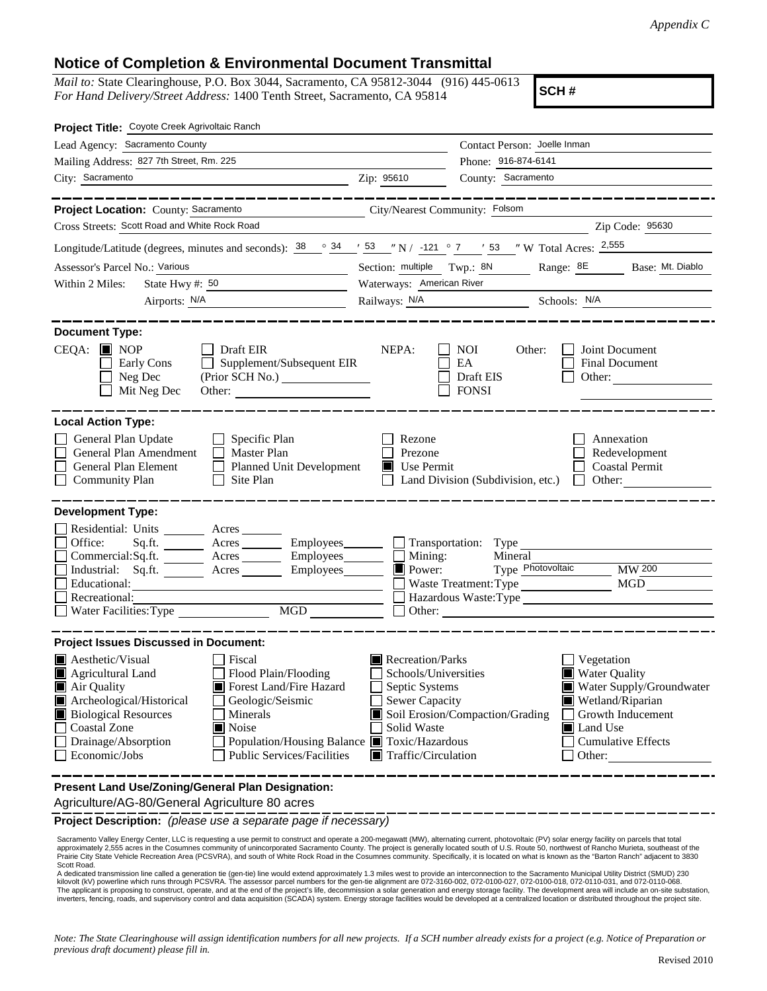## **Notice of Completion & Environmental Document Transmittal**

*Mail to:* State Clearinghouse, P.O. Box 3044, Sacramento, CA 95812-3044 (916) 445-0613 *For Hand Delivery/Street Address:* 1400 Tenth Street, Sacramento, CA 95814

**SCH #**

| Project Title: Coyote Creek Agrivoltaic Ranch                                                                                                                                                                                                                                                                                                                                                                          |                                                                                                                                                                                                                                                                                                                                                   |                                                                                                                     |  |  |  |  |
|------------------------------------------------------------------------------------------------------------------------------------------------------------------------------------------------------------------------------------------------------------------------------------------------------------------------------------------------------------------------------------------------------------------------|---------------------------------------------------------------------------------------------------------------------------------------------------------------------------------------------------------------------------------------------------------------------------------------------------------------------------------------------------|---------------------------------------------------------------------------------------------------------------------|--|--|--|--|
| Lead Agency: Sacramento County                                                                                                                                                                                                                                                                                                                                                                                         |                                                                                                                                                                                                                                                                                                                                                   | Contact Person: Joelle Inman                                                                                        |  |  |  |  |
| Mailing Address: 827 7th Street, Rm. 225                                                                                                                                                                                                                                                                                                                                                                               |                                                                                                                                                                                                                                                                                                                                                   | Phone: 916-874-6141                                                                                                 |  |  |  |  |
| City: Sacramento                                                                                                                                                                                                                                                                                                                                                                                                       | Zip: 95610                                                                                                                                                                                                                                                                                                                                        | County: Sacramento                                                                                                  |  |  |  |  |
| Project Location: County: Sacramento                                                                                                                                                                                                                                                                                                                                                                                   | City/Nearest Community: Folsom                                                                                                                                                                                                                                                                                                                    |                                                                                                                     |  |  |  |  |
| Cross Streets: Scott Road and White Rock Road                                                                                                                                                                                                                                                                                                                                                                          |                                                                                                                                                                                                                                                                                                                                                   | Zip Code: 95630                                                                                                     |  |  |  |  |
| Longitude/Latitude (degrees, minutes and seconds): $\frac{38}{9}$ $\frac{34}{9}$ $\frac{1}{2}$ 53 "N / -121 ° 7 ' 53 "W Total Acres: $\frac{2,555}{9}$                                                                                                                                                                                                                                                                 |                                                                                                                                                                                                                                                                                                                                                   |                                                                                                                     |  |  |  |  |
| Assessor's Parcel No.: Various                                                                                                                                                                                                                                                                                                                                                                                         | Section: multiple Twp.: 8N<br>Range: 8E<br>Base: Mt. Diablo                                                                                                                                                                                                                                                                                       |                                                                                                                     |  |  |  |  |
| State Hwy #: 50<br>Within 2 Miles:                                                                                                                                                                                                                                                                                                                                                                                     | Waterways: American River                                                                                                                                                                                                                                                                                                                         |                                                                                                                     |  |  |  |  |
|                                                                                                                                                                                                                                                                                                                                                                                                                        |                                                                                                                                                                                                                                                                                                                                                   | Railways: N/A Schools: N/A                                                                                          |  |  |  |  |
| <b>Document Type:</b><br>$CEQA:$ MOP<br>$\Box$ Draft EIR<br>Supplement/Subsequent EIR<br>Early Cons<br>Neg Dec<br>Mit Neg Dec                                                                                                                                                                                                                                                                                          | NEPA:                                                                                                                                                                                                                                                                                                                                             | <b>NOI</b><br>Joint Document<br>Other:<br>EA<br>Final Document<br>Draft EIS<br>Other: $\frac{1}{1}$<br><b>FONSI</b> |  |  |  |  |
| <b>Local Action Type:</b><br>General Plan Update<br>$\Box$ Specific Plan<br>General Plan Amendment<br>$\Box$ Master Plan<br>General Plan Element<br>Planned Unit Development<br><b>Community Plan</b><br>$\Box$ Site Plan                                                                                                                                                                                              | Rezone<br>Prezone<br>$\blacksquare$ Use Permit                                                                                                                                                                                                                                                                                                    | Annexation<br>Redevelopment<br><b>Coastal Permit</b><br>Land Division (Subdivision, etc.)<br>$\Box$ Other:          |  |  |  |  |
| <b>Development Type:</b>                                                                                                                                                                                                                                                                                                                                                                                               |                                                                                                                                                                                                                                                                                                                                                   |                                                                                                                     |  |  |  |  |
| Residential: Units ________ Acres _______<br>Office:<br>Sq.ft. ________ Acres __________ Employees ________ __ Transportation: Type<br>Commercial:Sq.ft. ________ Acres _________ Employees _______ __ Mining:<br>Industrial: Sq.ft. _______ Acres ________ Employees_______<br>Educational:<br>Recreational:<br>MGD NG                                                                                                | $\Box$ Power:                                                                                                                                                                                                                                                                                                                                     | Mineral<br>Type Photovoltaic<br>$MW$ 200<br>MGD<br>Waste Treatment: Type<br>Hazardous Waste:Type<br>$\Box$ Other:   |  |  |  |  |
| <b>Project Issues Discussed in Document:</b>                                                                                                                                                                                                                                                                                                                                                                           |                                                                                                                                                                                                                                                                                                                                                   |                                                                                                                     |  |  |  |  |
| $\blacksquare$ Aesthetic/Visual<br>Fiscal<br>$\blacksquare$ Agricultural Land<br>Flood Plain/Flooding<br>Forest Land/Fire Hazard<br>Air Quality<br>Archeological/Historical<br>Geologic/Seismic<br><b>Biological Resources</b><br>Minerals<br><b>Coastal Zone</b><br>$\blacksquare$ Noise<br>Drainage/Absorption<br>Population/Housing Balance ■ Toxic/Hazardous<br>Economic/Jobs<br><b>Public Services/Facilities</b> | Recreation/Parks<br>Vegetation<br><b>Water Quality</b><br>Schools/Universities<br>Septic Systems<br>Water Supply/Groundwater<br>Sewer Capacity<br>$\blacksquare$ Wetland/Riparian<br>Soil Erosion/Compaction/Grading<br>Growth Inducement<br>Solid Waste<br>Land Use<br><b>Cumulative Effects</b><br>$\blacksquare$ Traffic/Circulation<br>Other: |                                                                                                                     |  |  |  |  |
| Present Land Use/Zoning/General Plan Designation:<br>Agriculture/AG-80/General Agriculture 80 acres                                                                                                                                                                                                                                                                                                                    |                                                                                                                                                                                                                                                                                                                                                   |                                                                                                                     |  |  |  |  |

**Project Description:** *(please use a separate page if necessary)*

Sacramento Valley Energy Center, LLC is requesting a use permit to construct and operate a 200-megawatt (MW), alternating current, photovoltaic (PV) solar energy facility on parcels that total approximately 2,555 acres in the Cosumnes community of unincorporated Sacramento County. The project is generally located south of U.S. Route 50, northwest of Rancho Murieta, southeast of the<br>Prairie City State Vehicle Rec Scott Road.

A dedicated transmission line called a generation tie (gen-tie) line would extend approximately 1.3 miles west to provide an interconnection to the Sacramento Municipal Utility District (SMUD) 230<br>kilovolt (kV) powerline w The applicant is proposing to construct, operate, and at the end of the project's life, decommission a solar generation and energy storage facility. The development area will include an on-site substation,<br>inverters, fenci

*Note: The State Clearinghouse will assign identification numbers for all new projects. If a SCH number already exists for a project (e.g. Notice of Preparation or previous draft document) please fill in.*